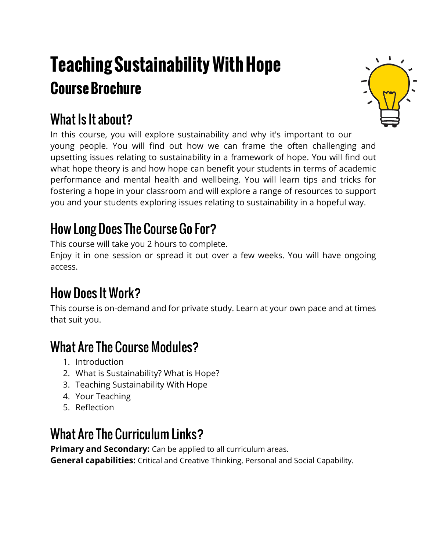# **Teaching Sustainability With Hope Course Brochure**



## What Is It about?

In this course, you will explore sustainability and why it's important to our young people. You will find out how we can frame the often challenging and upsetting issues relating to sustainability in a framework of hope. You will find out what hope theory is and how hope can benefit your students in terms of academic performance and mental health and wellbeing. You will learn tips and tricks for fostering a hope in your classroom and will explore a range of resources to support you and your students exploring issues relating to sustainability in a hopeful way.

#### How Long Does The Course Go For?

This course will take you 2 hours to complete.

Enjoy it in one session or spread it out over a few weeks. You will have ongoing access.

### How Does It Work?

This course is on-demand and for private study. Learn at your own pace and at times that suit you.

#### What Are The Course Modules?

- 1. Introduction
- 2. What is Sustainability? What is Hope?
- 3. Teaching Sustainability With Hope
- 4. Your Teaching
- 5. Reflection

#### What Are The Curriculum Links?

**Primary and Secondary:** Can be applied to all curriculum areas.

**General capabilities:** Critical and Creative Thinking, Personal and Social Capability.